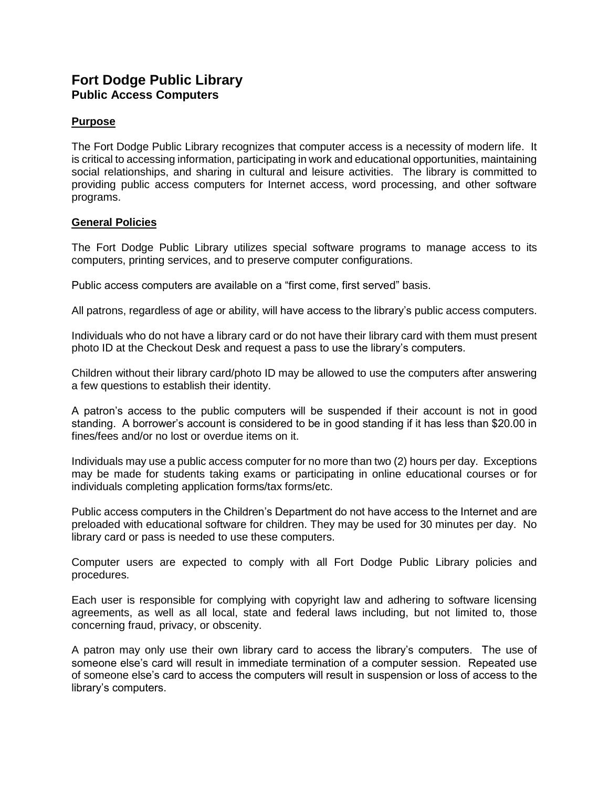## **Fort Dodge Public Library Public Access Computers**

## **Purpose**

The Fort Dodge Public Library recognizes that computer access is a necessity of modern life. It is critical to accessing information, participating in work and educational opportunities, maintaining social relationships, and sharing in cultural and leisure activities. The library is committed to providing public access computers for Internet access, word processing, and other software programs.

## **General Policies**

The Fort Dodge Public Library utilizes special software programs to manage access to its computers, printing services, and to preserve computer configurations.

Public access computers are available on a "first come, first served" basis.

All patrons, regardless of age or ability, will have access to the library's public access computers.

Individuals who do not have a library card or do not have their library card with them must present photo ID at the Checkout Desk and request a pass to use the library's computers.

Children without their library card/photo ID may be allowed to use the computers after answering a few questions to establish their identity.

A patron's access to the public computers will be suspended if their account is not in good standing. A borrower's account is considered to be in good standing if it has less than \$20.00 in fines/fees and/or no lost or overdue items on it.

Individuals may use a public access computer for no more than two (2) hours per day. Exceptions may be made for students taking exams or participating in online educational courses or for individuals completing application forms/tax forms/etc.

Public access computers in the Children's Department do not have access to the Internet and are preloaded with educational software for children. They may be used for 30 minutes per day. No library card or pass is needed to use these computers.

Computer users are expected to comply with all Fort Dodge Public Library policies and procedures.

Each user is responsible for complying with copyright law and adhering to software licensing agreements, as well as all local, state and federal laws including, but not limited to, those concerning fraud, privacy, or obscenity.

A patron may only use their own library card to access the library's computers. The use of someone else's card will result in immediate termination of a computer session. Repeated use of someone else's card to access the computers will result in suspension or loss of access to the library's computers.